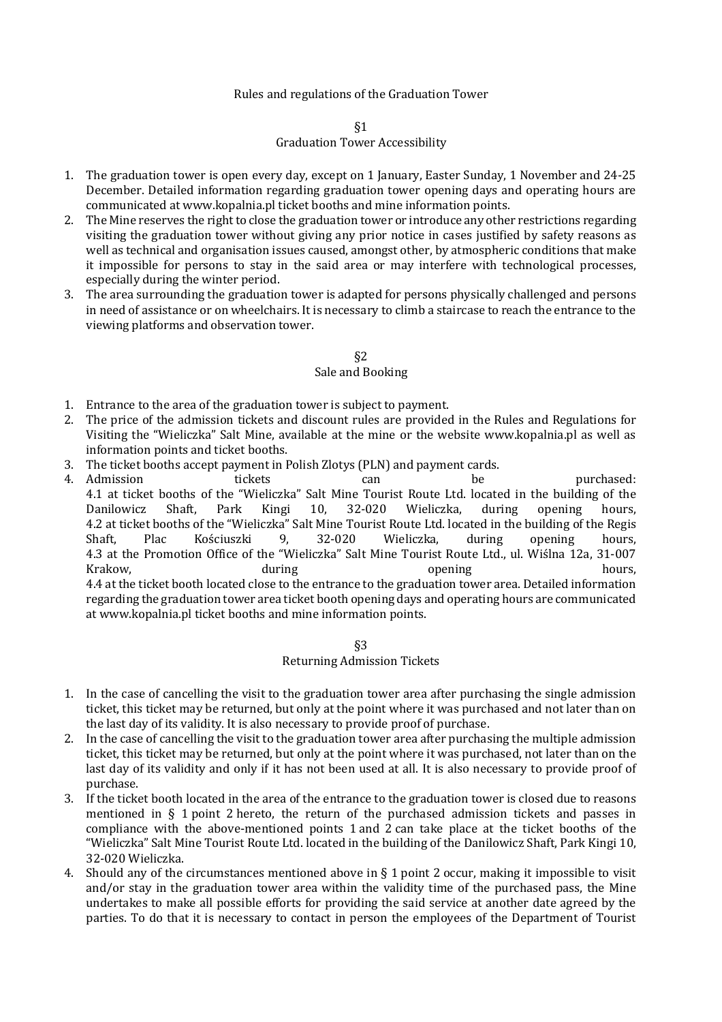## Rules and regulations of the Graduation Tower

#### §1

## Graduation Tower Accessibility

- 1. The graduation tower is open every day, except on 1 January, Easter Sunday, 1 November and 24-25 December. Detailed information regarding graduation tower opening days and operating hours are communicated at www.kopalnia.pl ticket booths and mine information points.
- 2. The Mine reserves the right to close the graduation tower or introduce any other restrictions regarding visiting the graduation tower without giving any prior notice in cases justified by safety reasons as well as technical and organisation issues caused, amongst other, by atmospheric conditions that make it impossible for persons to stay in the said area or may interfere with technological processes, especially during the winter period.
- 3. The area surrounding the graduation tower is adapted for persons physically challenged and persons in need of assistance or on wheelchairs. It is necessary to climb a staircase to reach the entrance to the viewing platforms and observation tower.

### §2 Sale and Booking

- 1. Entrance to the area of the graduation tower is subject to payment.
- 2. The price of the admission tickets and discount rules are provided in the Rules and Regulations for Visiting the "Wieliczka" Salt Mine, available at the mine or the website www.kopalnia.pl as well as information points and ticket booths.
- 3. The ticket booths accept payment in Polish Zlotys (PLN) and payment cards.
- 4. Admission **tickets** can be purchased: 4.1 at ticket booths of the "Wieliczka" Salt Mine Tourist Route Ltd. located in the building of the Danilowicz Shaft, Park Kingi 10, 32-020 Wieliczka, during opening hours, 4.2 at ticket booths of the "Wieliczka" Salt Mine Tourist Route Ltd. located in the building of the Regis Shaft, Plac Kościuszki 9, 32-020 Wieliczka, during opening hours, 4.3 at the Promotion Office of the "Wieliczka" Salt Mine Tourist Route Ltd., ul. Wiślna 12a, 31-007 Krakow, during opening hours, 4.4 at the ticket booth located close to the entrance to the graduation tower area. Detailed information regarding the graduation tower area ticket booth opening days and operating hours are communicated at www.kopalnia.pl ticket booths and mine information points.

### §3

#### Returning Admission Tickets

- 1. In the case of cancelling the visit to the graduation tower area after purchasing the single admission ticket, this ticket may be returned, but only at the point where it was purchased and not later than on the last day of its validity. It is also necessary to provide proof of purchase.
- 2. In the case of cancelling the visit to the graduation tower area after purchasing the multiple admission ticket, this ticket may be returned, but only at the point where it was purchased, not later than on the last day of its validity and only if it has not been used at all. It is also necessary to provide proof of purchase.
- 3. If the ticket booth located in the area of the entrance to the graduation tower is closed due to reasons mentioned in  $\S$  1 point 2 hereto, the return of the purchased admission tickets and passes in compliance with the above-mentioned points 1 and 2 can take place at the ticket booths of the "Wieliczka" Salt Mine Tourist Route Ltd. located in the building of the Danilowicz Shaft, Park Kingi 10, 32-020 Wieliczka.
- 4. Should any of the circumstances mentioned above in  $\S$  1 point 2 occur, making it impossible to visit and/or stay in the graduation tower area within the validity time of the purchased pass, the Mine undertakes to make all possible efforts for providing the said service at another date agreed by the parties. To do that it is necessary to contact in person the employees of the Department of Tourist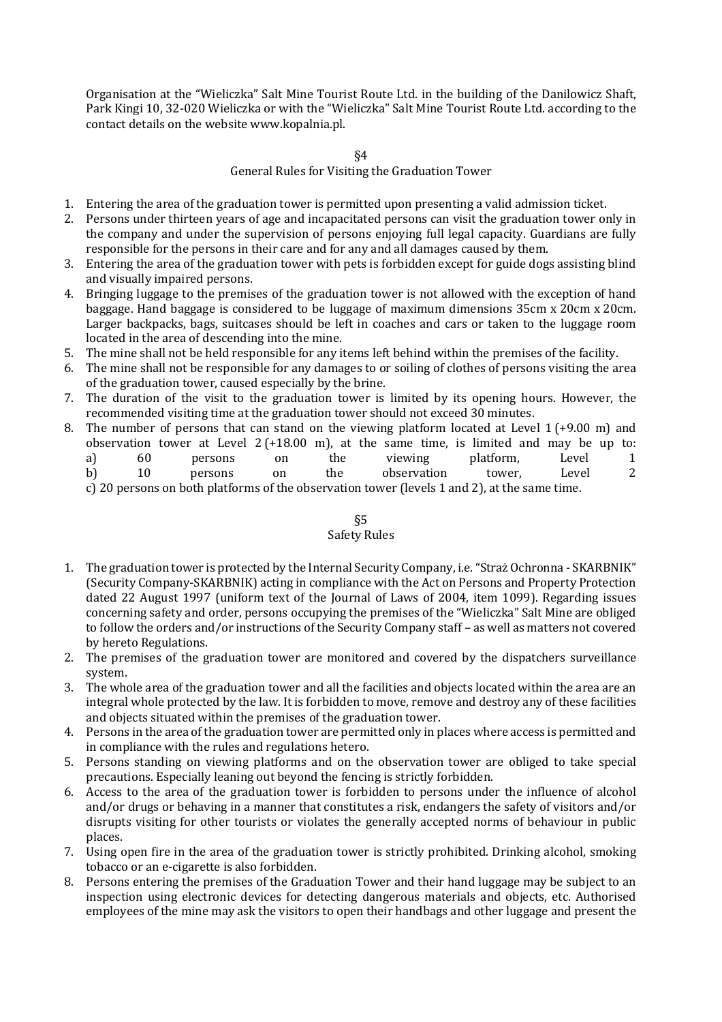Organisation at the "Wieliczka" Salt Mine Tourist Route Ltd. in the building of the Danilowicz Shaft, Park Kingi 10, 32-020 Wieliczka or with the "Wieliczka" Salt Mine Tourist Route Ltd. according to the contact details on the website www.kopalnia.pl.

§4

## General Rules for Visiting the Graduation Tower

- 1. Entering the area of the graduation tower is permitted upon presenting a valid admission ticket.
- 2. Persons under thirteen years of age and incapacitated persons can visit the graduation tower only in the company and under the supervision of persons enjoying full legal capacity. Guardians are fully responsible for the persons in their care and for any and all damages caused by them.
- 3. Entering the area of the graduation tower with pets is forbidden except for guide dogs assisting blind and visually impaired persons.
- 4. Bringing luggage to the premises of the graduation tower is not allowed with the exception of hand baggage. Hand baggage is considered to be luggage of maximum dimensions 35cm x 20cm x 20cm. Larger backpacks, bags, suitcases should be left in coaches and cars or taken to the luggage room located in the area of descending into the mine.
- 5. The mine shall not be held responsible for any items left behind within the premises of the facility.
- 6. The mine shall not be responsible for any damages to or soiling of clothes of persons visiting the area of the graduation tower, caused especially by the brine.
- 7. The duration of the visit to the graduation tower is limited by its opening hours. However, the recommended visiting time at the graduation tower should not exceed 30 minutes.
- 8. The number of persons that can stand on the viewing platform located at Level  $1 (+9.00)$  m and observation tower at Level  $2 (+18.00 \text{ m})$ , at the same time, is limited and may be up to: a) 60 persons on the viewing platform, Level 1
	- b) 10 persons on the observation tower, Level 2

c) 20 persons on both platforms of the observation tower (levels 1 and 2), at the same time.

# §5

## Safety Rules

- 1. The graduation tower is protected by the Internal Security Company, i.e. "Straż Ochronna SKARBNIK" (Security Company-SKARBNIK) acting in compliance with the Act on Persons and Property Protection dated 22 August 1997 (uniform text of the Journal of Laws of 2004, item 1099). Regarding issues concerning safety and order, persons occupying the premises of the "Wieliczka" Salt Mine are obliged to follow the orders and/or instructions of the Security Company staff - as well as matters not covered by hereto Regulations.
- 2. The premises of the graduation tower are monitored and covered by the dispatchers surveillance system.
- 3. The whole area of the graduation tower and all the facilities and objects located within the area are an integral whole protected by the law. It is forbidden to move, remove and destroy any of these facilities and objects situated within the premises of the graduation tower.
- 4. Persons in the area of the graduation tower are permitted only in places where access is permitted and in compliance with the rules and regulations hetero.
- 5. Persons standing on viewing platforms and on the observation tower are obliged to take special precautions. Especially leaning out beyond the fencing is strictly forbidden.
- 6. Access to the area of the graduation tower is forbidden to persons under the influence of alcohol and/or drugs or behaving in a manner that constitutes a risk, endangers the safety of visitors and/or disrupts visiting for other tourists or violates the generally accepted norms of behaviour in public places.
- 7. Using open fire in the area of the graduation tower is strictly prohibited. Drinking alcohol, smoking tobacco or an e-cigarette is also forbidden.
- 8. Persons entering the premises of the Graduation Tower and their hand luggage may be subject to an inspection using electronic devices for detecting dangerous materials and objects, etc. Authorised employees of the mine may ask the visitors to open their handbags and other luggage and present the